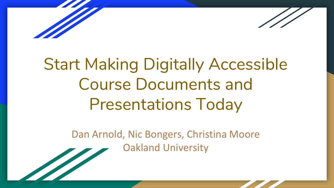

# Start Making Digitally Accessible Course Documents and Presentations Today

Dan Arnold, Nic Bongers, Christina Moore Oakland University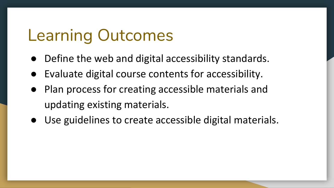# Learning Outcomes

- Define the web and digital accessibility standards.
- Evaluate digital course contents for accessibility.
- Plan process for creating accessible materials and updating existing materials.
- Use guidelines to create accessible digital materials.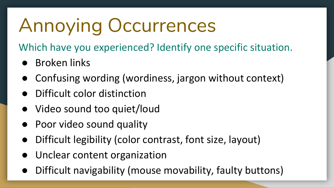# Annoying Occurrences

Which have you experienced? Identify one specific situation.

- Broken links
- Confusing wording (wordiness, jargon without context)
- Difficult color distinction
- Video sound too quiet/loud
- Poor video sound quality
- Difficult legibility (color contrast, font size, layout)
- Unclear content organization
- Difficult navigability (mouse movability, faulty buttons)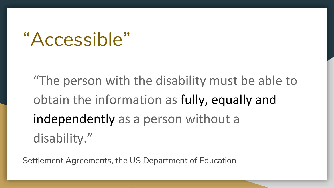# "Accessible"

"The person with the disability must be able to obtain the information as fully, equally and independently as a person without a disability."

Settlement Agreements, the US Department of Education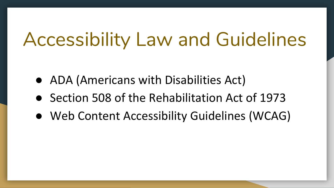# Accessibility Law and Guidelines

- ADA (Americans with Disabilities Act)
- Section 508 of the Rehabilitation Act of 1973
- Web Content Accessibility Guidelines (WCAG)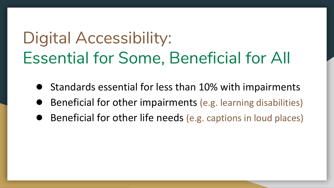# Digital Accessibility: Essential for Some, Beneficial for All

- Standards essential for less than 10% with impairments
- Beneficial for other impairments (e.g. learning disabilities)
- Beneficial for other life needs (e.g. captions in loud places)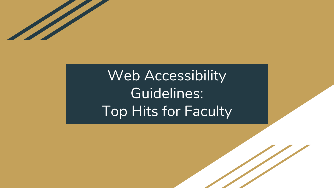

# Web Accessibility Guidelines: Top Hits for Faculty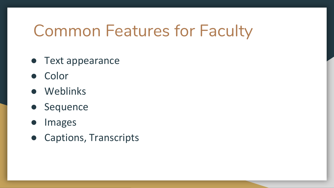# Common Features for Faculty

- Text appearance
- Color
- Weblinks
- Sequence
- Images
- Captions, Transcripts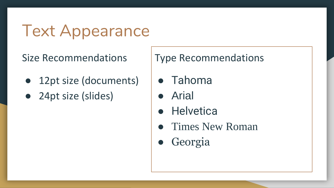# Text Appearance

Size Recommendations

- 12pt size (documents)
- 24pt size (slides)

Type Recommendations

- Tahoma
- Arial
- Helvetica
- Times New Roman
- Georgia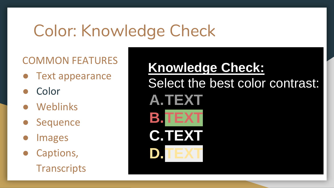# Color: Knowledge Check

## COMMON FEATURES

- **Text appearance**
- Color
- Weblinks
- **Sequence**
- **Images**
- Captions, **Transcripts**

**Knowledge Check:** Select the best color contrast: **A.TEXT B.TEXT C.TEXT D.TEXT**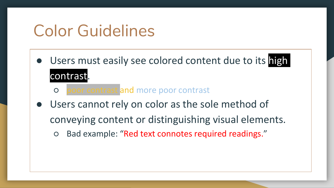# Color Guidelines

- Users must easily see colored content due to its high contrast.
	- poor contrast and more poor contrast
- Users cannot rely on color as the sole method of conveying content or distinguishing visual elements. ○ Bad example: "Red text connotes required readings."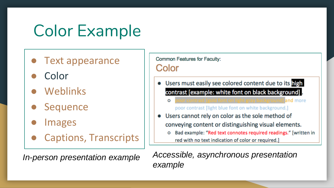# Color Example

- **Text appearance**
- Color
- Weblinks
- **Sequence**
- **Images**
- Captions, Transcripts

Common Features for Faculty: Color

- Users must easily see colored content due to its high  $\bullet$ contrast [example: white font on black background].
	- oor contrast [gold font on light gray background] and more O poor contrast [light blue font on white background.]
- Users cannot rely on color as the sole method of  $\bullet$ conveying content or distinguishing visual elements.
	- Bad example: "Red text connotes required readings." [written in O red with no text indication of color or required.]

*In-person presentation example Accessible, asynchronous presentation example*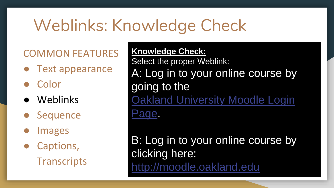# Weblinks: Knowledge Check

## COMMON FEATURES

- **Text appearance**
- Color
- **Weblinks**
- **Sequence**
- **Images**
- Captions, **Transcripts**

**Knowledge Check:** Select the proper Weblink: A: Log in to your online course by going to the [Oakland University Moodle Login](http://moodle.oakland.edu)  Page.

B: Log in to your online course by clicking here: <http://moodle.oakland.edu>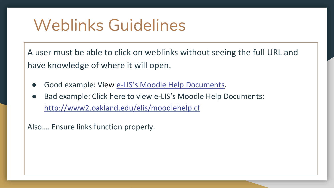# Weblinks Guidelines

A user must be able to click on weblinks without seeing the full URL and have knowledge of where it will open.

- Good example: View e-[LIS's Moodle Help Documents](http://www2.oakland.edu/elis/moodlehelp.cfm).
- Bad example: Click here to view e-LIS's Moodle Help Documents: [http://www2.oakland.edu/elis/moodlehelp.cf](http://www2.oakland.edu/elis/moodlehelp.cfm)

Also…. Ensure links function properly.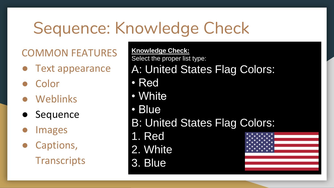# Sequence: Knowledge Check

COMMON FEATURES

- **Text appearance**
- Color
- **Weblinks**
- Sequence
- **Images**
- Captions, **Transcripts**

**Knowledge Check:** Select the proper list type: A: United States Flag Colors: • Red • White • Blue B: United States Flag Colors: 1. Red 2. White 3. Blue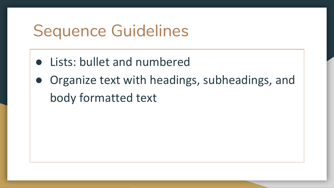# Sequence Guidelines

- Lists: bullet and numbered
- Organize text with headings, subheadings, and body formatted text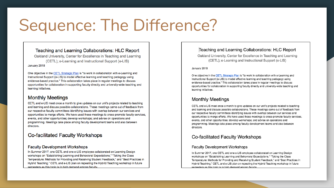# Sequence: The Difference?

### Teaching and Learning Collaborations: HLC Report

Oakland University. Center for Excellence in Teaching and Learning (CETL); e-Learning and Instructional Support (e-LIS) January 2018

One objective in the CETL Strategic Plan is "to work in collaboration with e-Learning and Instructional Support (e-LIS) to model effective learning and teaching pedagogy using evidence-based practice." This collaboration takes place in reqular meetings to discuss opportunities for collaboration in supporting faculty directly and university-wide teaching and learning initiatives.

### **Monthly Meetings**

CETL and e-LIS meet once a month to give updates on our unit's projects related to teaching and learning and discuss possible collaborations. These meetings came out of feedback from our respective faculty committees identifying issues with overlap between our services and opportunities to merge efforts. We have used these meetings to cross-promote faculty services, events, and other opportunities; develop workshops; and advise on operations and programming. Meetings take place among faculty development teams and also between directors.

### **Co-facilitated Faculty Workshops**

### **Faculty Development Workshops**

In Summer 2017, one CETL and one e-LIS employee collaborated on Learning Design workshops on "Establishing Learning and Behavioral Expectations," "Taking the Class Temperature: Methods for Providing and Receiving Student Feedback," and "Best Practices in Hybrid Teaching." CETL and e-LIS plan on repeating the Hybrid Teaching workshop in future semesters as this topic is in high demand among faculty

### Teaching and Learning Collaborations: HLC Report

Oakland University. Center for Excellence in Teaching and Learning (CETL): e-Learning and Instructional Support (e-LIS)

### January 2018

One objective in the CETL Strategic Plan is "to work in collaboration with e-Learning and Instructional Support (e-LIS) to model effective learning and teaching pedagogy using evidence-based practice." This collaboration takes place in regular meetings to discuss opportunities for collaboration in supporting faculty directly and university-wide teaching and learning initiatives.

### **Monthly Meetings**

CETL and e-LIS meet once a month to give updates on our unit's projects related to teaching and learning and discuss possible collaborations. These meetings came out of feedback from our respective faculty committees identifying issues with overlap between our services and opportunities to merge efforts. We have used these meetings to cross-promote faculty services. events, and other opportunities; develop workshops; and advise on operations and programming. Meetings take place among faculty development teams and also between directors.

### **Co-facilitated Faculty Workshops**

### **Faculty Development Workshops**

In Summer 2017, one CETL and one e-LIS employee collaborated on Learning Design workshops on "Establishing Learning and Behavioral Expectations," "Taking the Class Temperature: Methods for Providing and Receiving Student Feedback," and "Best Practices in Hybrid Teaching." CETL and e-LIS plan on repeating the Hybrid Teaching workshop in future semesters as this topic is in high demand among faculty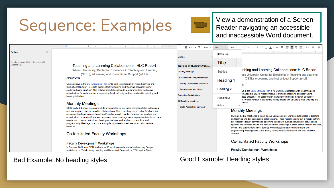# Sequence: Examples

[View a demonstration of a Screen](https://www.youtube.com/watch?v=3fu6rvrwvgY)  Reader navigating an accessible and inaccessible Word document.

Headings you add to the document will appear here.

 $\times$ 

Outline

### Teaching and Learning Collaborations: HLC Report

Oakland University, Center for Excellence in Teaching and Learning (CETL); e-Learning and Instructional Support (e-LIS) January 2018

One objective in the CETL Strategic Plan is "to work in collaboration with e-Learning and Instructional Support (e-LIS) to model effective learning and teaching pedagogy using evidence-based practice." This collaboration takes place in regular meetings to discuss opportunities for collaboration in supporting faculty directly and university-wide teaching and learning initiatives.

### **Monthly Meetings**

CETL and e-LIS meet once a month to give updates on our unit's projects related to teaching and learning and discuss possible collaborations. These meetings came out of feedback from our respective faculty committees identifying issues with overlap between our services and opportunities to merge efforts. We have used these meetings to cross-promote faculty services, events, and other opportunities; develop workshops; and advise on operations and programming. Meetings take place among faculty development teams and also between directors

### Co-facilitated Faculty Workshops

### **Faculty Development Workshops**

In Summer 2017, one CETL and one e-LIS employee collaborated on Learning Design workshops on "Establishing Learning and Behavioral Expectations," "Taking the Class

### Bad Example: No heading styles Good Example: Heading styles

| 100%                                                     | Title                          | Arial                                                                                             |                                                                                                                                                                                                                                                                                                                                                                                                                                                                                                                                                                                                                                                                           |  |  | - 7 - <u>0 - A</u> →   ∞ - ■   글   를   글   글   글 - j글 - j글 - j글 |  |  |  |  |  |  |  |  |
|----------------------------------------------------------|--------------------------------|---------------------------------------------------------------------------------------------------|---------------------------------------------------------------------------------------------------------------------------------------------------------------------------------------------------------------------------------------------------------------------------------------------------------------------------------------------------------------------------------------------------------------------------------------------------------------------------------------------------------------------------------------------------------------------------------------------------------------------------------------------------------------------------|--|--|-----------------------------------------------------------------|--|--|--|--|--|--|--|--|
| è                                                        | Normal text                    |                                                                                                   |                                                                                                                                                                                                                                                                                                                                                                                                                                                                                                                                                                                                                                                                           |  |  |                                                                 |  |  |  |  |  |  |  |  |
| ing and Learning Colla                                   | $\overline{\phantom{a}}$ Title | b.                                                                                                |                                                                                                                                                                                                                                                                                                                                                                                                                                                                                                                                                                                                                                                                           |  |  |                                                                 |  |  |  |  |  |  |  |  |
| ly Meetings                                              | <b>Subtitle</b>                |                                                                                                   | iching and Learning Collaborations: HLC Report                                                                                                                                                                                                                                                                                                                                                                                                                                                                                                                                                                                                                            |  |  |                                                                 |  |  |  |  |  |  |  |  |
| ilitated Faculty Workshops<br>ulty Development Workshops | Heading 1                      |                                                                                                   | and University, Center for Excellence in Teaching and Learning<br>(CETL); e-Learning and Instructional Support (e-LIS)                                                                                                                                                                                                                                                                                                                                                                                                                                                                                                                                                    |  |  |                                                                 |  |  |  |  |  |  |  |  |
| orientation Workshops                                    |                                | 18<br>Heading 2<br>ve in the CETL Strategic Plan is "to work in collaboration with e-Learning and |                                                                                                                                                                                                                                                                                                                                                                                                                                                                                                                                                                                                                                                                           |  |  |                                                                 |  |  |  |  |  |  |  |  |
| ittee Participation<br>aching Initiatives                | Heading 3                      |                                                                                                   | il Support (e-LIS) to model effective learning and teaching pedagogy using<br>ased practice." This collaboration takes place in regular meetings to discuss<br>is for collaboration in supporting faculty directly and university-wide teaching and                                                                                                                                                                                                                                                                                                                                                                                                                       |  |  |                                                                 |  |  |  |  |  |  |  |  |
| tal Accessibility for Faculty                            | Options                        |                                                                                                   | tiatives.                                                                                                                                                                                                                                                                                                                                                                                                                                                                                                                                                                                                                                                                 |  |  |                                                                 |  |  |  |  |  |  |  |  |
|                                                          |                                | directors.                                                                                        | <b>Monthly Meetings</b><br>CETL and e-LIS meet once a month to give updates on our unit's projects related to teaching<br>and learning and discuss possible collaborations. These meetings came out of feedback from<br>our respective faculty committees identifying issues with overlap between our services and<br>opportunities to merge efforts. We have used these meetings to cross-promote faculty services,<br>events, and other opportunities; develop workshops; and advise on operations and<br>programming. Meetings take place among faculty development teams and also between<br>Co-facilitated Faculty Workshops<br><b>Faculty Development Workshops</b> |  |  |                                                                 |  |  |  |  |  |  |  |  |

Outlin

Teacl

Month

Co-fa Fac

Pre

Comr

**OU Te** 

Digi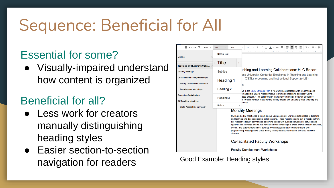# Sequence: Beneficial for All

## Essential for some?

● Visually-impaired understand how content is organized

## Beneficial for all?

- Less work for creators manually distinguishing heading styles
- Easier section-to-section navigation for readers Good Example: Heading styles

| $R \approx 2$<br>ē.<br>100%              | <b>Title</b><br>Arial          | 耳<br>Ξ<br>GD <b>ED</b><br>Ξ<br>$\equiv$<br>$1 = -$<br>扫<br>18<br>в<br>U<br>$A -$                                                                                                                                                                                                                                                                                                                                                                                                                                                                                                                                                  |  |  |  |  |  |  |  |  |  |
|------------------------------------------|--------------------------------|-----------------------------------------------------------------------------------------------------------------------------------------------------------------------------------------------------------------------------------------------------------------------------------------------------------------------------------------------------------------------------------------------------------------------------------------------------------------------------------------------------------------------------------------------------------------------------------------------------------------------------------|--|--|--|--|--|--|--|--|--|
| <b>Outline</b>                           | Normal text                    |                                                                                                                                                                                                                                                                                                                                                                                                                                                                                                                                                                                                                                   |  |  |  |  |  |  |  |  |  |
|                                          | $\overline{\phantom{a}}$ Title |                                                                                                                                                                                                                                                                                                                                                                                                                                                                                                                                                                                                                                   |  |  |  |  |  |  |  |  |  |
| <b>Teaching and Learning Colla</b>       |                                | iching and Learning Collaborations: HLC Report                                                                                                                                                                                                                                                                                                                                                                                                                                                                                                                                                                                    |  |  |  |  |  |  |  |  |  |
| Monthly Meetings                         | <b>Subtitle</b>                | and University, Center for Excellence in Teaching and Learning                                                                                                                                                                                                                                                                                                                                                                                                                                                                                                                                                                    |  |  |  |  |  |  |  |  |  |
| Co-facilitated Faculty Workshops         | Heading 1                      | (CETL); e-Learning and Instructional Support (e-LIS)                                                                                                                                                                                                                                                                                                                                                                                                                                                                                                                                                                              |  |  |  |  |  |  |  |  |  |
| <b>Faculty Development Workshops</b>     |                                | 18                                                                                                                                                                                                                                                                                                                                                                                                                                                                                                                                                                                                                                |  |  |  |  |  |  |  |  |  |
| Pre-orientation Workshops                | Heading 2                      | ve in the CETL Strategic Plan is "to work in collaboration with e-Learning and                                                                                                                                                                                                                                                                                                                                                                                                                                                                                                                                                    |  |  |  |  |  |  |  |  |  |
| <b>Committee Participation</b>           | Heading 3                      | il Support (e-LIS) to model effective learning and teaching pedagogy using<br>ased practice." This collaboration takes place in regular meetings to discuss<br>is for collaboration in supporting faculty directly and university-wide teaching and                                                                                                                                                                                                                                                                                                                                                                               |  |  |  |  |  |  |  |  |  |
| <b>OU Teaching Initiatives</b>           |                                | tiatives.                                                                                                                                                                                                                                                                                                                                                                                                                                                                                                                                                                                                                         |  |  |  |  |  |  |  |  |  |
| <b>Digital Accessibility for Faculty</b> | Options<br>b.                  |                                                                                                                                                                                                                                                                                                                                                                                                                                                                                                                                                                                                                                   |  |  |  |  |  |  |  |  |  |
|                                          | directors.                     | <b>Monthly Meetings</b><br>CETL and e-LIS meet once a month to give updates on our unit's projects related to teaching<br>and learning and discuss possible collaborations. These meetings came out of feedback from<br>our respective faculty committees identifying issues with overlap between our services and<br>opportunities to merge efforts. We have used these meetings to cross-promote faculty services.<br>events, and other opportunities; develop workshops; and advise on operations and<br>programming. Meetings take place among faculty development teams and also between<br>Co-facilitated Faculty Workshops |  |  |  |  |  |  |  |  |  |
|                                          |                                | <b>Faculty Development Workshops</b>                                                                                                                                                                                                                                                                                                                                                                                                                                                                                                                                                                                              |  |  |  |  |  |  |  |  |  |
|                                          |                                |                                                                                                                                                                                                                                                                                                                                                                                                                                                                                                                                                                                                                                   |  |  |  |  |  |  |  |  |  |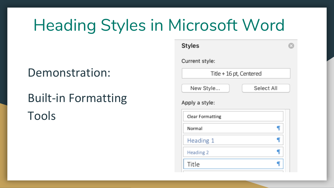# Heading Styles in Microsoft Word

**Styles** 

## Demonstration:

Tools

# Built-in Formatting

### Current style: Title + 16 pt, Centered New Style... Select All Apply a style: **Clear Formatting** T Normal ¶ Heading 1 ¶ Heading 2 ¶ Title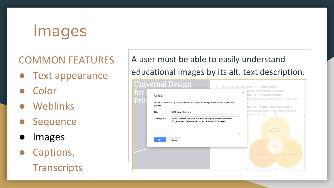# Images

## COMMON FEATURES

- **Text appearance**
- Color
- Weblinks
- **Sequence**
- **Images**
- Captions, **Transcripts**

## A user must be able to easily understand educational images by its alt. text description.

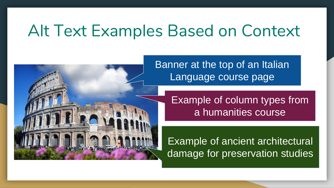# Alt Text Examples Based on Context



Banner at the top of an Italian Language course page

> Example of column types from a humanities course

Example of ancient architectural damage for preservation studies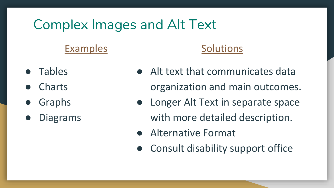## Complex Images and Alt Text

## Examples

- Tables
- **Charts**
- **Graphs**
- **Diagrams**

### **Solutions**

- Alt text that communicates data organization and main outcomes.
- Longer Alt Text in separate space with more detailed description.
- Alternative Format
- Consult disability support office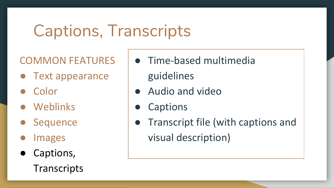# Captions, Transcripts

COMMON FEATURES

- Text appearance
- Color
- Weblinks
- **Sequence**
- **Images**
- Captions, **Transcripts**
- Time-based multimedia guidelines
- Audio and video
- **Captions**
- Transcript file (with captions and visual description)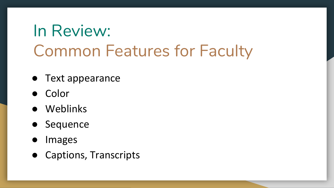# In Review: Common Features for Faculty

- Text appearance
- Color
- Weblinks
- Sequence
- Images
- Captions, Transcripts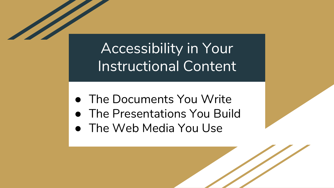Accessibility in Your Instructional Content

- The Documents You Write
- The Presentations You Build
- The Web Media You Use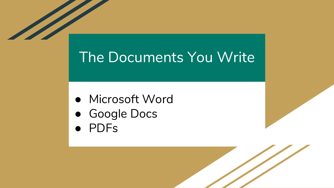## The Documents You Write

- Microsoft Word
- Google Docs
- PDFs

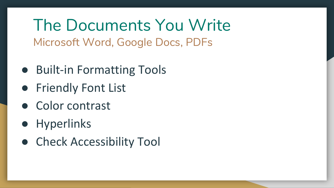The Documents You Write Microsoft Word, Google Docs, PDFs

- Built-in Formatting Tools
- Friendly Font List
- Color contrast
- Hyperlinks
- Check Accessibility Tool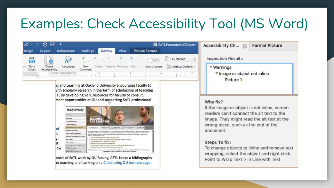## Examples: Check Accessibility Tool (MS Word)



ig and Learning at Oakland University encourages faculty to with scholarly research in the form of scholarship of teaching TL by developing SoTL resources for faculty to consult, ment opportunities at OU and supporting SoTL professional



hodel of SoTL work by OU faculty, CETL keeps a bibliography on teaching and learning on a Celebrating OU Authors page.

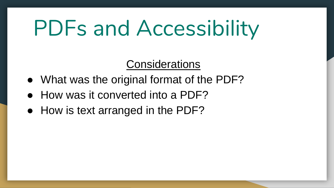# PDFs and Accessibility

**Considerations** 

- What was the original format of the PDF?
- How was it converted into a PDF?
- How is text arranged in the PDF?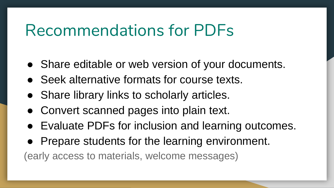# Recommendations for PDFs

- Share editable or web version of your documents.
- Seek alternative formats for course texts.
- Share library links to scholarly articles.
- Convert scanned pages into plain text.
- Evaluate PDFs for inclusion and learning outcomes.
- Prepare students for the learning environment.

(early access to materials, welcome messages)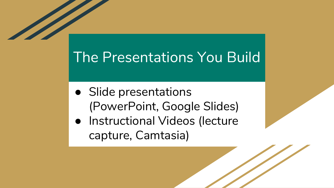## The Presentations You Build

- Slide presentations (PowerPoint, Google Slides)
- Instructional Videos (lecture capture, Camtasia)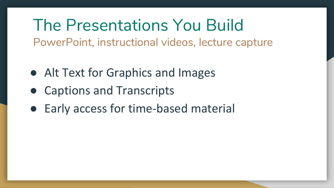The Presentations You Build PowerPoint, instructional videos, lecture capture

- Alt Text for Graphics and Images
- Captions and Transcripts
- Early access for time-based material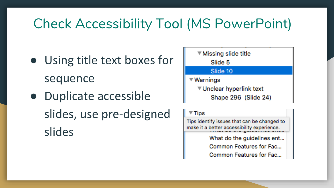## Check Accessibility Tool (MS PowerPoint)

- Using title text boxes for sequence
- Duplicate accessible slides, use pre-designed slides



### $\overline{\mathbf{r}}$  Tips

Tips identify issues that can be changed to make it a better accessibility experience.

> What do the guidelines ent... Common Features for Fac...

Common Features for Fac...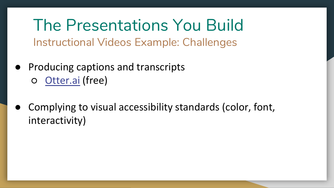The Presentations You Build Instructional Videos Example: Challenges

- **Producing captions and transcripts** ○ [Otter.ai](https://otter.ai/) (free)
- Complying to visual accessibility standards (color, font, interactivity)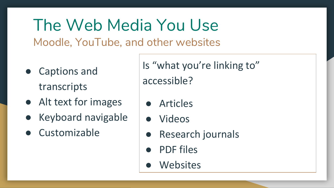The Web Media You Use Moodle, YouTube, and other websites

- Captions and transcripts
- Alt text for images
- Keyboard navigable
- Customizable

Is "what you're linking to" accessible?

- **Articles**
- **Videos**
- **Research journals**
- PDF files
- Websites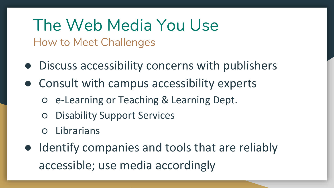The Web Media You Use How to Meet Challenges

- Discuss accessibility concerns with publishers
- Consult with campus accessibility experts
	- e-Learning or Teaching & Learning Dept.
	- Disability Support Services
	- Librarians
- Identify companies and tools that are reliably accessible; use media accordingly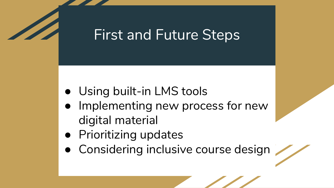## First and Future Steps

- Using built-in LMS tools
- Implementing new process for new digital material
- Prioritizing updates
- Considering inclusive course design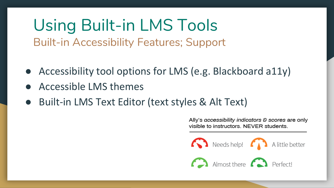Using Built-in LMS Tools Built-in Accessibility Features; Support

- Accessibility tool options for LMS (e.g. Blackboard a11y)
- Accessible LMS themes
- Built-in LMS Text Editor (text styles & Alt Text)

Ally's accessibility indicators & scores are only visible to instructors. NEVER students.

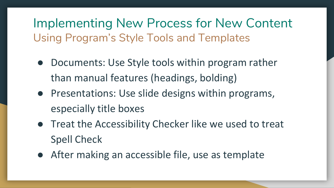Implementing New Process for New Content Using Program's Style Tools and Templates

- Documents: Use Style tools within program rather than manual features (headings, bolding)
- Presentations: Use slide designs within programs, especially title boxes
- Treat the Accessibility Checker like we used to treat Spell Check
- After making an accessible file, use as template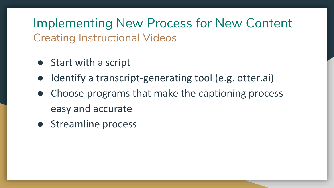Implementing New Process for New Content Creating Instructional Videos

- Start with a script
- Identify a transcript-generating tool (e.g. otter.ai)
- Choose programs that make the captioning process easy and accurate
- Streamline process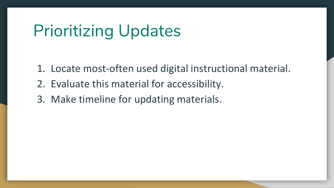# Prioritizing Updates

- 1. Locate most-often used digital instructional material.
- 2. Evaluate this material for accessibility.
- 3. Make timeline for updating materials.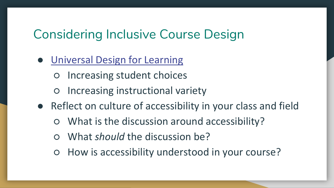## Considering Inclusive Course Design

- [Universal Design for Learning](https://www.oakland.edu/cetl/ou-teaching-initiatives/)
	- Increasing student choices
	- Increasing instructional variety
- Reflect on culture of accessibility in your class and field
	- What is the discussion around accessibility?
	- What *should* the discussion be?
	- How is accessibility understood in your course?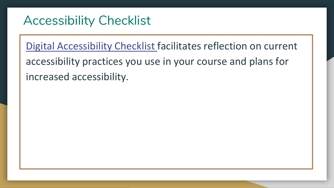## Accessibility Checklist

[Digital Accessibility Checklist](https://docs.google.com/document/d/1DOpUlvxmV-pwykzlOzpokxM3pfmCCBblhvo3ehcuzXU/edit?usp=sharing) facilitates reflection on current accessibility practices you use in your course and plans for increased accessibility.